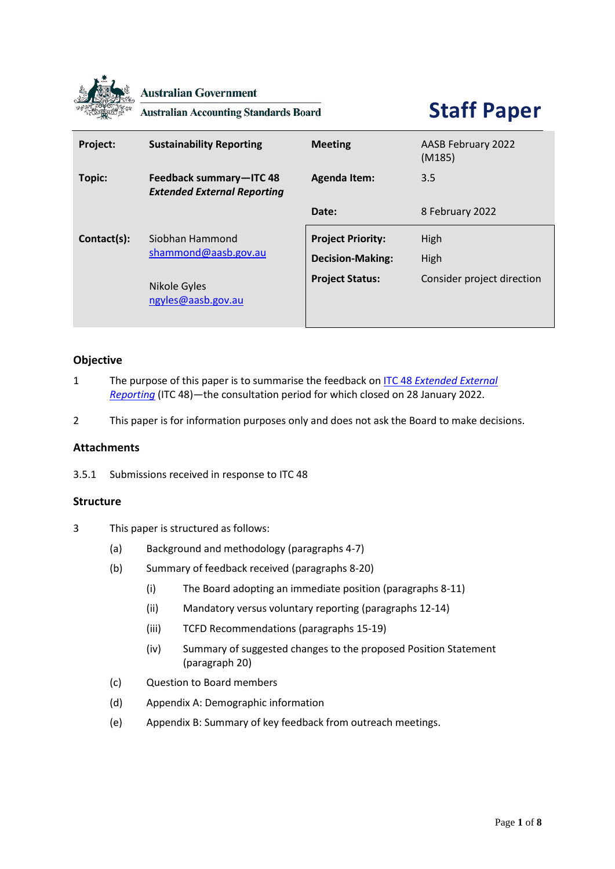

**Australian Government** 

**Australian Accounting Standards Board** 

# **Staff Paper**

| Project:    | <b>Sustainability Reporting</b>                               | <b>Meeting</b>                                      | AASB February 2022<br>(M185) |
|-------------|---------------------------------------------------------------|-----------------------------------------------------|------------------------------|
| Topic:      | Feedback summary-ITC 48<br><b>Extended External Reporting</b> | <b>Agenda Item:</b>                                 | 3.5                          |
|             |                                                               | Date:                                               | 8 February 2022              |
| Contact(s): | Siobhan Hammond<br>shammond@aasb.gov.au                       | <b>Project Priority:</b><br><b>Decision-Making:</b> | High<br>High                 |
|             | Nikole Gyles<br>ngyles@aasb.gov.au                            | <b>Project Status:</b>                              | Consider project direction   |

# **Objective**

- 1 The purpose of this paper is to summarise the feedback on ITC 48 *[Extended External](https://www.aasb.gov.au/admin/file/content105/c9/ITC48_11-21.pdf)  [Reporting](https://www.aasb.gov.au/admin/file/content105/c9/ITC48_11-21.pdf)* (ITC 48)—the consultation period for which closed on 28 January 2022.
- 2 This paper is for information purposes only and does not ask the Board to make decisions.

# **Attachments**

3.5.1 Submissions received in response to ITC 48

#### **Structure**

- 3 This paper is structured as follows:
	- (a) Background and methodology (paragraphs 4-7)
	- (b) Summary of feedback received (paragraphs 8-20)
		- (i) The Board adopting an immediate position (paragraphs 8-11)
		- (ii) Mandatory versus voluntary reporting (paragraphs 12-14)
		- (iii) TCFD Recommendations (paragraphs 15-19)
		- (iv) Summary of suggested changes to the proposed Position Statement (paragraph 20)
	- (c) Question to Board members
	- (d) Appendix A: Demographic information
	- (e) Appendix B: Summary of key feedback from outreach meetings.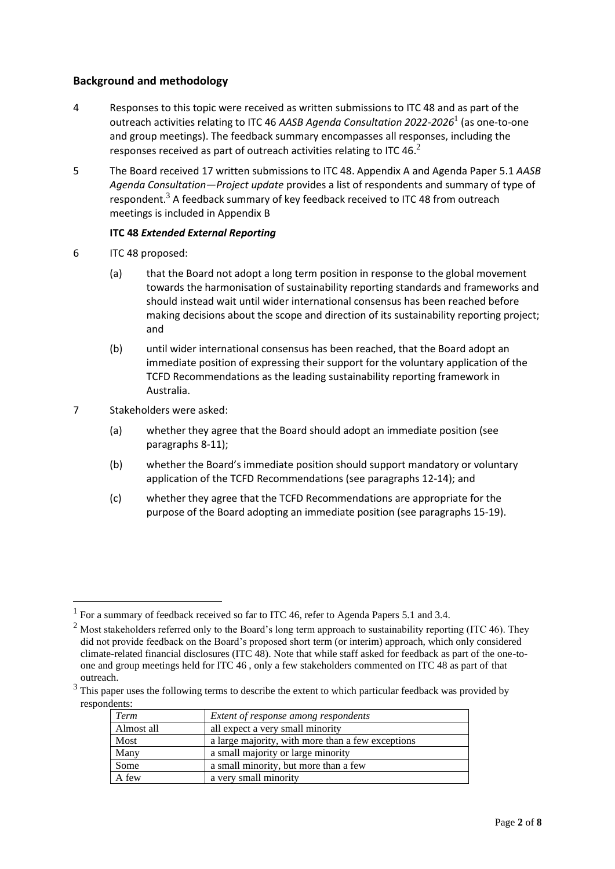# **Background and methodology**

- 4 Responses to this topic were received as written submissions to ITC 48 and as part of the outreach activities relating to ITC 46 *AASB Agenda Consultation 2022-2026*<sup>1</sup> (as one-to-one and group meetings). The feedback summary encompasses all responses, including the responses received as part of outreach activities relating to ITC 46. $^2$
- 5 The Board received 17 written submissions to ITC 48. Appendix A and Agenda Paper 5.1 *AASB Agenda Consultation—Project update* provides a list of respondents and summary of type of respondent. $3$  A feedback summary of key feedback received to ITC 48 from outreach meetings is included in Appendix B

#### **ITC 48** *Extended External Reporting*

- 6 ITC 48 proposed:
	- (a) that the Board not adopt a long term position in response to the global movement towards the harmonisation of sustainability reporting standards and frameworks and should instead wait until wider international consensus has been reached before making decisions about the scope and direction of its sustainability reporting project; and
	- (b) until wider international consensus has been reached, that the Board adopt an immediate position of expressing their support for the voluntary application of the TCFD Recommendations as the leading sustainability reporting framework in Australia.
- 7 Stakeholders were asked:
	- (a) whether they agree that the Board should adopt an immediate position (see paragraphs 8-11);
	- (b) whether the Board's immediate position should support mandatory or voluntary application of the TCFD Recommendations (see paragraphs 12-14); and
	- (c) whether they agree that the TCFD Recommendations are appropriate for the purpose of the Board adopting an immediate position (see paragraphs 15-19).

<sup>&</sup>lt;sup>3</sup> This paper uses the following terms to describe the extent to which particular feedback was provided by respondents:

| Term       | Extent of response among respondents              |
|------------|---------------------------------------------------|
| Almost all | all expect a very small minority                  |
| Most       | a large majority, with more than a few exceptions |
| Many       | a small majority or large minority                |
| Some       | a small minority, but more than a few             |
| A few      | a very small minority                             |

<sup>&</sup>lt;sup>1</sup> For a summary of feedback received so far to ITC 46, refer to Agenda Papers 5.1 and 3.4.

<sup>&</sup>lt;sup>2</sup> Most stakeholders referred only to the Board's long term approach to sustainability reporting (ITC 46). They did not provide feedback on the Board's proposed short term (or interim) approach, which only considered climate-related financial disclosures (ITC 48). Note that while staff asked for feedback as part of the one-toone and group meetings held for ITC 46 , only a few stakeholders commented on ITC 48 as part of that outreach.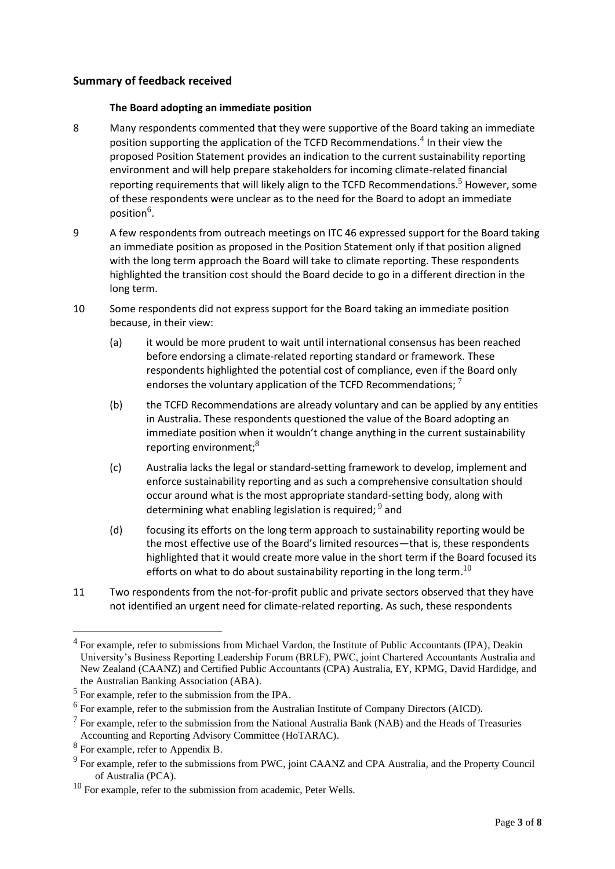#### **Summary of feedback received**

#### **The Board adopting an immediate position**

- 8 Many respondents commented that they were supportive of the Board taking an immediate position supporting the application of the TCFD Recommendations.<sup>4</sup> In their view the proposed Position Statement provides an indication to the current sustainability reporting environment and will help prepare stakeholders for incoming climate-related financial reporting requirements that will likely align to the TCFD Recommendations.<sup>5</sup> However, some of these respondents were unclear as to the need for the Board to adopt an immediate position $^6$ .
- 9 A few respondents from outreach meetings on ITC 46 expressed support for the Board taking an immediate position as proposed in the Position Statement only if that position aligned with the long term approach the Board will take to climate reporting. These respondents highlighted the transition cost should the Board decide to go in a different direction in the long term.
- 10 Some respondents did not express support for the Board taking an immediate position because, in their view:
	- (a) it would be more prudent to wait until international consensus has been reached before endorsing a climate-related reporting standard or framework. These respondents highlighted the potential cost of compliance, even if the Board only endorses the voluntary application of the TCFD Recommendations;  $^7$
	- (b) the TCFD Recommendations are already voluntary and can be applied by any entities in Australia. These respondents questioned the value of the Board adopting an immediate position when it wouldn't change anything in the current sustainability reporting environment: $8<sup>8</sup>$
	- (c) Australia lacks the legal or standard-setting framework to develop, implement and enforce sustainability reporting and as such a comprehensive consultation should occur around what is the most appropriate standard-setting body, along with determining what enabling legislation is required;  $^9$  and
	- (d) focusing its efforts on the long term approach to sustainability reporting would be the most effective use of the Board's limited resources—that is, these respondents highlighted that it would create more value in the short term if the Board focused its efforts on what to do about sustainability reporting in the long term.<sup>10</sup>
- 11 Two respondents from the not-for-profit public and private sectors observed that they have not identified an urgent need for climate-related reporting. As such, these respondents

<sup>&</sup>lt;sup>4</sup> For example, refer to submissions from Michael Vardon, the Institute of Public Accountants (IPA), Deakin University's Business Reporting Leadership Forum (BRLF), PWC, joint Chartered Accountants Australia and New Zealand (CAANZ) and Certified Public Accountants (CPA) Australia, EY, KPMG, David Hardidge, and the Australian Banking Association (ABA).

 $<sup>5</sup>$  For example, refer to the submission from the IPA.</sup>

<sup>&</sup>lt;sup>6</sup> For example, refer to the submission from the Australian Institute of Company Directors (AICD).

 $<sup>7</sup>$  For example, refer to the submission from the National Australia Bank (NAB) and the Heads of Treasuries</sup> Accounting and Reporting Advisory Committee (HoTARAC).

 $8$  For example, refer to Appendix B.

 $9^9$  For example, refer to the submissions from PWC, joint CAANZ and CPA Australia, and the Property Council of Australia (PCA).

 $10$  For example, refer to the submission from academic, Peter Wells.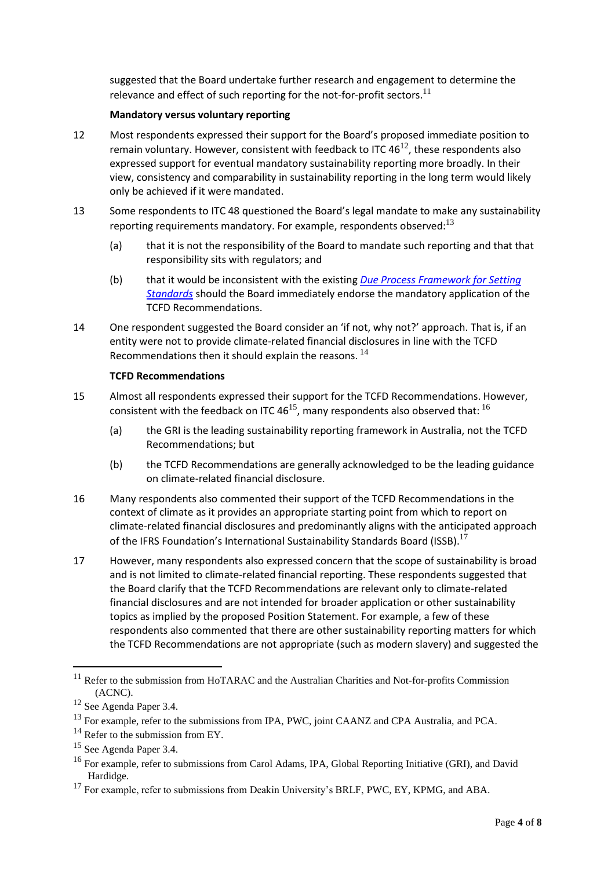suggested that the Board undertake further research and engagement to determine the relevance and effect of such reporting for the not-for-profit sectors. $^{11}$ 

#### **Mandatory versus voluntary reporting**

- 12 Most respondents expressed their support for the Board's proposed immediate position to remain voluntary. However, consistent with feedback to ITC  $46^{12}$ , these respondents also expressed support for eventual mandatory sustainability reporting more broadly. In their view, consistency and comparability in sustainability reporting in the long term would likely only be achieved if it were mandated.
- 13 Some respondents to ITC 48 questioned the Board's legal mandate to make any sustainability reporting requirements mandatory. For example, respondents observed: $^{13}$ 
	- (a) that it is not the responsibility of the Board to mandate such reporting and that that responsibility sits with regulators; and
	- (b) that it would be inconsistent with the existing *[Due Process Framework for Setting](https://www.aasb.gov.au/admin/file/content102/c3/AASB_Due_Process_Framework_09-19.pdf)  [Standards](https://www.aasb.gov.au/admin/file/content102/c3/AASB_Due_Process_Framework_09-19.pdf)* should the Board immediately endorse the mandatory application of the TCFD Recommendations.
- 14 One respondent suggested the Board consider an 'if not, why not?' approach. That is, if an entity were not to provide climate-related financial disclosures in line with the TCFD Recommendations then it should explain the reasons.  $^{14}$

#### **TCFD Recommendations**

- 15 Almost all respondents expressed their support for the TCFD Recommendations. However, consistent with the feedback on ITC 46<sup>15</sup>, many respondents also observed that:  $^{16}$ 
	- (a) the GRI is the leading sustainability reporting framework in Australia, not the TCFD Recommendations; but
	- (b) the TCFD Recommendations are generally acknowledged to be the leading guidance on climate-related financial disclosure.
- 16 Many respondents also commented their support of the TCFD Recommendations in the context of climate as it provides an appropriate starting point from which to report on climate-related financial disclosures and predominantly aligns with the anticipated approach of the IFRS Foundation's International Sustainability Standards Board (ISSB).<sup>17</sup>
- 17 However, many respondents also expressed concern that the scope of sustainability is broad and is not limited to climate-related financial reporting. These respondents suggested that the Board clarify that the TCFD Recommendations are relevant only to climate-related financial disclosures and are not intended for broader application or other sustainability topics as implied by the proposed Position Statement. For example, a few of these respondents also commented that there are other sustainability reporting matters for which the TCFD Recommendations are not appropriate (such as modern slavery) and suggested the

<sup>&</sup>lt;sup>11</sup> Refer to the submission from HoTARAC and the Australian Charities and Not-for-profits Commission (ACNC).

<sup>12</sup> See Agenda Paper 3.4.

<sup>&</sup>lt;sup>13</sup> For example, refer to the submissions from IPA, PWC, joint CAANZ and CPA Australia, and PCA.

 $14$  Refer to the submission from EY.

<sup>&</sup>lt;sup>15</sup> See Agenda Paper 3.4.

<sup>&</sup>lt;sup>16</sup> For example, refer to submissions from Carol Adams, IPA, Global Reporting Initiative (GRI), and David Hardidge.

 $17$  For example, refer to submissions from Deakin University's BRLF, PWC, EY, KPMG, and ABA.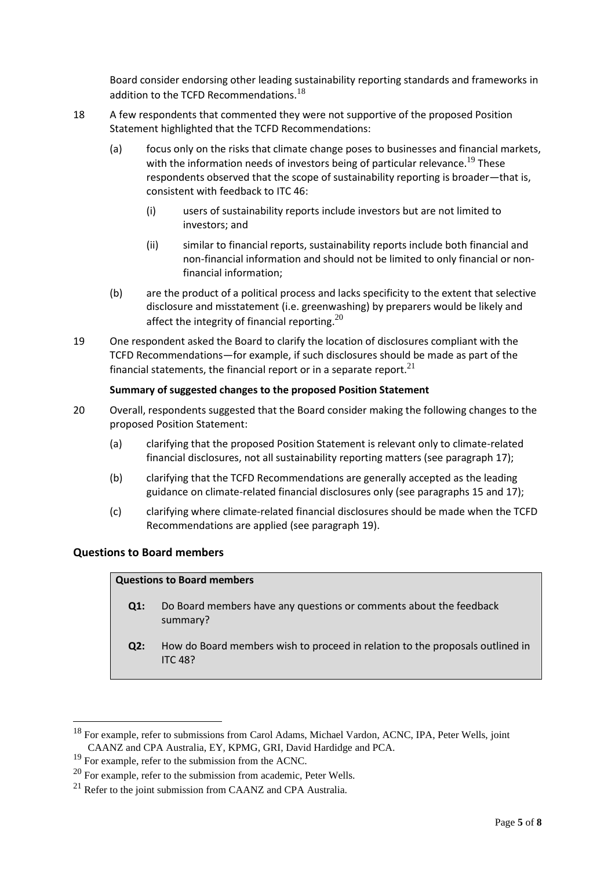Board consider endorsing other leading sustainability reporting standards and frameworks in addition to the TCFD Recommendations.<sup>18</sup>

- 18 A few respondents that commented they were not supportive of the proposed Position Statement highlighted that the TCFD Recommendations:
	- (a) focus only on the risks that climate change poses to businesses and financial markets, with the information needs of investors being of particular relevance.<sup>19</sup> These respondents observed that the scope of sustainability reporting is broader—that is, consistent with feedback to ITC 46:
		- (i) users of sustainability reports include investors but are not limited to investors; and
		- (ii) similar to financial reports, sustainability reports include both financial and non-financial information and should not be limited to only financial or nonfinancial information;
	- (b) are the product of a political process and lacks specificity to the extent that selective disclosure and misstatement (i.e. greenwashing) by preparers would be likely and affect the integrity of financial reporting. $^{20}$
- 19 One respondent asked the Board to clarify the location of disclosures compliant with the TCFD Recommendations—for example, if such disclosures should be made as part of the financial statements, the financial report or in a separate report. $21$

# **Summary of suggested changes to the proposed Position Statement**

- 20 Overall, respondents suggested that the Board consider making the following changes to the proposed Position Statement:
	- (a) clarifying that the proposed Position Statement is relevant only to climate-related financial disclosures, not all sustainability reporting matters (see paragraph 17);
	- (b) clarifying that the TCFD Recommendations are generally accepted as the leading guidance on climate-related financial disclosures only (see paragraphs 15 and 17);
	- (c) clarifying where climate-related financial disclosures should be made when the TCFD Recommendations are applied (see paragraph 19).

#### **Questions to Board members**

#### **Questions to Board members**

- **Q1:** Do Board members have any questions or comments about the feedback summary?
- **Q2:** How do Board members wish to proceed in relation to the proposals outlined in ITC 48?

<sup>&</sup>lt;sup>18</sup> For example, refer to submissions from Carol Adams, Michael Vardon, ACNC, IPA, Peter Wells, joint CAANZ and CPA Australia, EY, KPMG, GRI, David Hardidge and PCA.

 $19$  For example, refer to the submission from the ACNC.

 $20$  For example, refer to the submission from academic, Peter Wells.

 $21$  Refer to the joint submission from CAANZ and CPA Australia.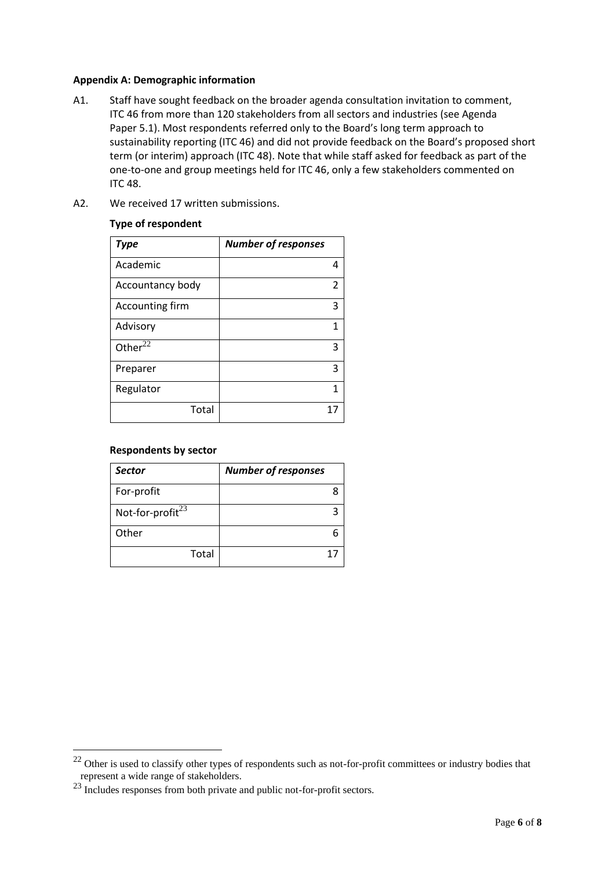#### **Appendix A: Demographic information**

- A1. Staff have sought feedback on the broader agenda consultation invitation to comment, ITC 46 from more than 120 stakeholders from all sectors and industries (see Agenda Paper 5.1). Most respondents referred only to the Board's long term approach to sustainability reporting (ITC 46) and did not provide feedback on the Board's proposed short term (or interim) approach (ITC 48). Note that while staff asked for feedback as part of the one-to-one and group meetings held for ITC 46, only a few stakeholders commented on ITC 48.
- A2. We received 17 written submissions.

#### **Type of respondent**

| <b>Type</b>            | <b>Number of responses</b> |  |
|------------------------|----------------------------|--|
| Academic               |                            |  |
| Accountancy body       | 2                          |  |
| <b>Accounting firm</b> | 3                          |  |
| Advisory               | 1                          |  |
| Other $2\overline{2}$  | 3                          |  |
| Preparer               | 3                          |  |
| Regulator              | 1                          |  |
| Total                  |                            |  |

#### **Respondents by sector**

| <b>Sector</b>                | <b>Number of responses</b> |
|------------------------------|----------------------------|
| For-profit                   |                            |
| Not-for-profit <sup>23</sup> |                            |
| Other                        |                            |
| Total                        |                            |

 $22$  Other is used to classify other types of respondents such as not-for-profit committees or industry bodies that represent a wide range of stakeholders.

<sup>&</sup>lt;sup>23</sup> Includes responses from both private and public not-for-profit sectors.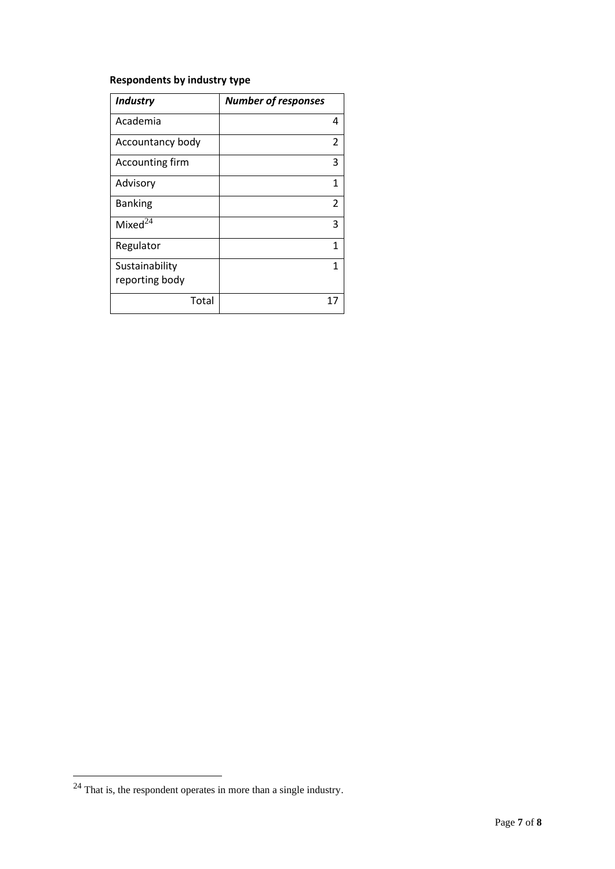# **Respondents by industry type**

| <b>Industry</b>                  | <b>Number of responses</b> |
|----------------------------------|----------------------------|
| Academia                         | 4                          |
| Accountancy body                 | 2                          |
| Accounting firm                  | 3                          |
| Advisory                         | 1                          |
| <b>Banking</b>                   | 2                          |
| Mixed $^{24}$                    | 3                          |
| Regulator                        | 1                          |
| Sustainability<br>reporting body | 1                          |
|                                  |                            |
| Total                            | 17                         |

 $24$  That is, the respondent operates in more than a single industry.